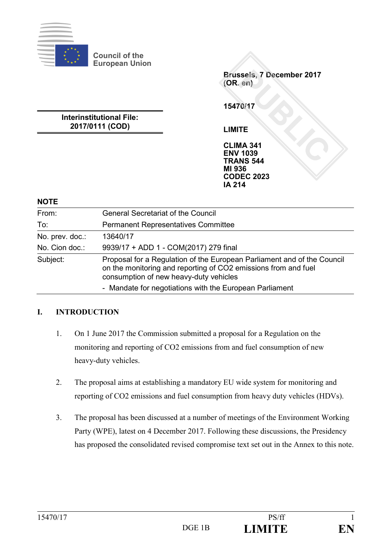

**Council of the European Union**

> **Brussels, 7 December 2017 (OR. en)**

**15470/17**

**LIMITE**

**CLIMA 341 ENV 1039 TRANS 544 MI 936 CODEC 2023 IA 214**

# **Interinstitutional File: 2017/0111 (COD)**

**NOTE**

| From:           | <b>General Secretariat of the Council</b>                                                                                                                                           |
|-----------------|-------------------------------------------------------------------------------------------------------------------------------------------------------------------------------------|
| To:             | <b>Permanent Representatives Committee</b>                                                                                                                                          |
| No. prev. doc.: | 13640/17                                                                                                                                                                            |
| No. Cion doc.:  | 9939/17 + ADD 1 - COM(2017) 279 final                                                                                                                                               |
| Subject:        | Proposal for a Regulation of the European Parliament and of the Council<br>on the monitoring and reporting of CO2 emissions from and fuel<br>consumption of new heavy-duty vehicles |
|                 | - Mandate for negotiations with the European Parliament                                                                                                                             |

## **I. INTRODUCTION**

- 1. On 1 June 2017 the Commission submitted a proposal for a Regulation on the monitoring and reporting of CO2 emissions from and fuel consumption of new heavy-duty vehicles.
- 2. The proposal aims at establishing a mandatory EU wide system for monitoring and reporting of CO2 emissions and fuel consumption from heavy duty vehicles (HDVs).
- 3. The proposal has been discussed at a number of meetings of the Environment Working Party (WPE), latest on 4 December 2017. Following these discussions, the Presidency has proposed the consolidated revised compromise text set out in the Annex to this note.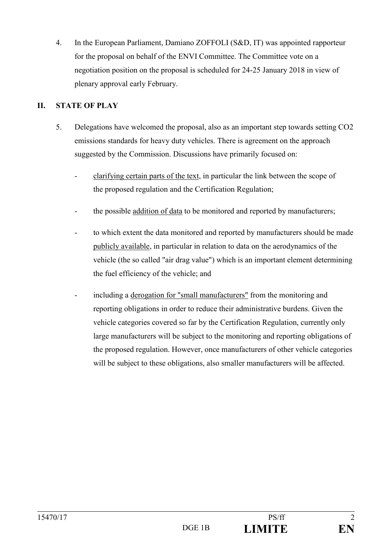4. In the European Parliament, Damiano ZOFFOLI (S&D, IT) was appointed rapporteur for the proposal on behalf of the ENVI Committee. The Committee vote on a negotiation position on the proposal is scheduled for 24-25 January 2018 in view of plenary approval early February.

# **II. STATE OF PLAY**

- 5. Delegations have welcomed the proposal, also as an important step towards setting CO2 emissions standards for heavy duty vehicles. There is agreement on the approach suggested by the Commission. Discussions have primarily focused on:
	- clarifying certain parts of the text, in particular the link between the scope of the proposed regulation and the Certification Regulation;
	- the possible addition of data to be monitored and reported by manufacturers;
	- to which extent the data monitored and reported by manufacturers should be made publicly available, in particular in relation to data on the aerodynamics of the vehicle (the so called "air drag value") which is an important element determining the fuel efficiency of the vehicle; and
	- including a derogation for "small manufacturers" from the monitoring and reporting obligations in order to reduce their administrative burdens. Given the vehicle categories covered so far by the Certification Regulation, currently only large manufacturers will be subject to the monitoring and reporting obligations of the proposed regulation. However, once manufacturers of other vehicle categories will be subject to these obligations, also smaller manufacturers will be affected.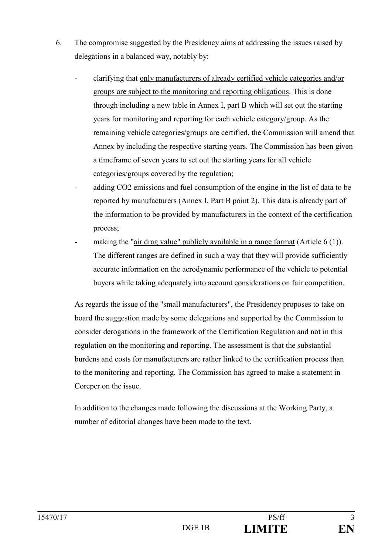- 6. The compromise suggested by the Presidency aims at addressing the issues raised by delegations in a balanced way, notably by:
	- clarifying that only manufacturers of already certified vehicle categories and/or groups are subject to the monitoring and reporting obligations. This is done through including a new table in Annex I, part B which will set out the starting years for monitoring and reporting for each vehicle category/group. As the remaining vehicle categories/groups are certified, the Commission will amend that Annex by including the respective starting years. The Commission has been given a timeframe of seven years to set out the starting years for all vehicle categories/groups covered by the regulation;
	- adding CO2 emissions and fuel consumption of the engine in the list of data to be reported by manufacturers (Annex I, Part B point 2). This data is already part of the information to be provided by manufacturers in the context of the certification process;
	- making the "air drag value" publicly available in a range format (Article  $6(1)$ ). The different ranges are defined in such a way that they will provide sufficiently accurate information on the aerodynamic performance of the vehicle to potential buyers while taking adequately into account considerations on fair competition.

As regards the issue of the "small manufacturers", the Presidency proposes to take on board the suggestion made by some delegations and supported by the Commission to consider derogations in the framework of the Certification Regulation and not in this regulation on the monitoring and reporting. The assessment is that the substantial burdens and costs for manufacturers are rather linked to the certification process than to the monitoring and reporting. The Commission has agreed to make a statement in Coreper on the issue.

In addition to the changes made following the discussions at the Working Party, a number of editorial changes have been made to the text.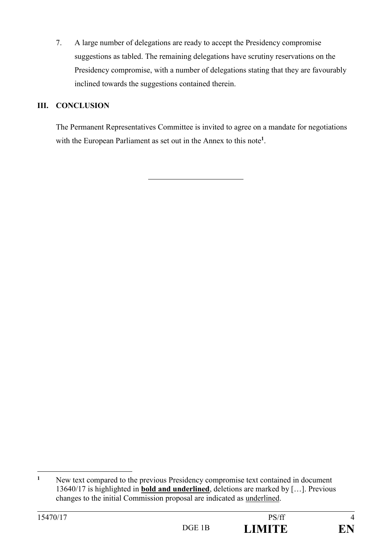7. A large number of delegations are ready to accept the Presidency compromise suggestions as tabled. The remaining delegations have scrutiny reservations on the Presidency compromise, with a number of delegations stating that they are favourably inclined towards the suggestions contained therein.

## **III. CONCLUSION**

The Permanent Representatives Committee is invited to agree on a mandate for negotiations with the European Parliament as set out in the Annex to this note**<sup>1</sup>** .

**<sup>1</sup>** New text compared to the previous Presidency compromise text contained in document 13640/17 is highlighted in **bold and underlined**, deletions are marked by […]. Previous changes to the initial Commission proposal are indicated as underlined.



<u>.</u>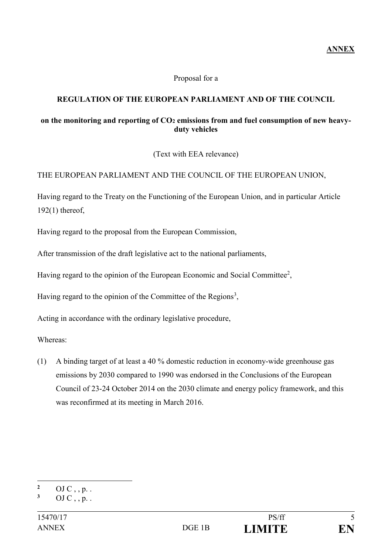**ANNEX**

#### Proposal for a

### **REGULATION OF THE EUROPEAN PARLIAMENT AND OF THE COUNCIL**

#### **on the monitoring and reporting of CO<sup>2</sup> emissions from and fuel consumption of new heavyduty vehicles**

(Text with EEA relevance)

#### THE EUROPEAN PARLIAMENT AND THE COUNCIL OF THE EUROPEAN UNION,

Having regard to the Treaty on the Functioning of the European Union, and in particular Article 192(1) thereof,

Having regard to the proposal from the European Commission,

After transmission of the draft legislative act to the national parliaments,

Having regard to the opinion of the European Economic and Social Committee<sup>2</sup>,

Having regard to the opinion of the Committee of the Regions<sup>3</sup>,

Acting in accordance with the ordinary legislative procedure,

Whereas:

(1) A binding target of at least a 40 % domestic reduction in economy-wide greenhouse gas emissions by 2030 compared to 1990 was endorsed in the Conclusions of the European Council of 23-24 October 2014 on the 2030 climate and energy policy framework, and this was reconfirmed at its meeting in March 2016.

<sup>1</sup> **2** OJ C, , p. .

**<sup>3</sup>** OJ C , , p. .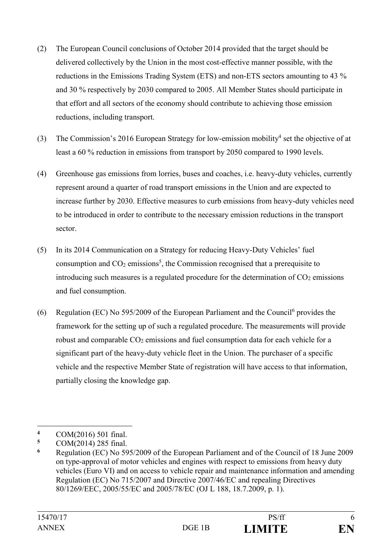- (2) The European Council conclusions of October 2014 provided that the target should be delivered collectively by the Union in the most cost-effective manner possible, with the reductions in the Emissions Trading System (ETS) and non-ETS sectors amounting to 43 % and 30 % respectively by 2030 compared to 2005. All Member States should participate in that effort and all sectors of the economy should contribute to achieving those emission reductions, including transport.
- (3) The Commission's 2016 European Strategy for low-emission mobility<sup>4</sup> set the objective of at least a 60 % reduction in emissions from transport by 2050 compared to 1990 levels.
- (4) Greenhouse gas emissions from lorries, buses and coaches, i.e. heavy-duty vehicles, currently represent around a quarter of road transport emissions in the Union and are expected to increase further by 2030. Effective measures to curb emissions from heavy-duty vehicles need to be introduced in order to contribute to the necessary emission reductions in the transport sector.
- (5) In its 2014 Communication on a Strategy for reducing Heavy-Duty Vehicles' fuel consumption and  $CO<sub>2</sub>$  emissions<sup>5</sup>, the Commission recognised that a prerequisite to introducing such measures is a regulated procedure for the determination of  $CO<sub>2</sub>$  emissions and fuel consumption.
- (6) Regulation (EC) No 595/2009 of the European Parliament and the Council<sup>6</sup> provides the framework for the setting up of such a regulated procedure. The measurements will provide robust and comparable  $CO<sub>2</sub>$  emissions and fuel consumption data for each vehicle for a significant part of the heavy-duty vehicle fleet in the Union. The purchaser of a specific vehicle and the respective Member State of registration will have access to that information, partially closing the knowledge gap.

<u>.</u>

**<sup>4</sup>** COM(2016) 501 final.

**<sup>5</sup>** COM(2014) 285 final.

**<sup>6</sup>** Regulation (EC) No 595/2009 of the European Parliament and of the Council of 18 June 2009 on type-approval of motor vehicles and engines with respect to emissions from heavy duty vehicles (Euro VI) and on access to vehicle repair and maintenance information and amending Regulation (EC) No 715/2007 and Directive 2007/46/EC and repealing Directives 80/1269/EEC, 2005/55/EC and 2005/78/EC (OJ L 188, 18.7.2009, p. 1).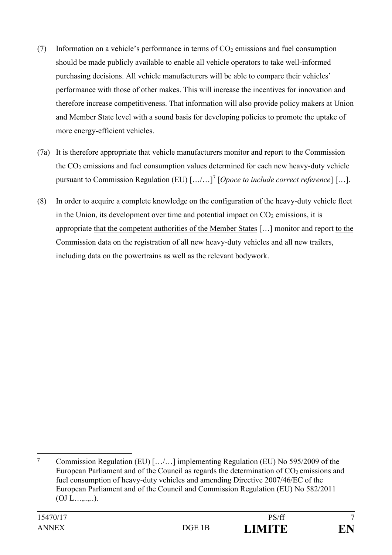- (7) Information on a vehicle's performance in terms of  $CO<sub>2</sub>$  emissions and fuel consumption should be made publicly available to enable all vehicle operators to take well-informed purchasing decisions. All vehicle manufacturers will be able to compare their vehicles' performance with those of other makes. This will increase the incentives for innovation and therefore increase competitiveness. That information will also provide policy makers at Union and Member State level with a sound basis for developing policies to promote the uptake of more energy-efficient vehicles.
- (7a) It is therefore appropriate that vehicle manufacturers monitor and report to the Commission the CO<sup>2</sup> emissions and fuel consumption values determined for each new heavy-duty vehicle pursuant to Commission Regulation (EU)  $[\ldots]$ <sup>7</sup> [*Opoce to include correct reference*] [...].
- (8) In order to acquire a complete knowledge on the configuration of the heavy-duty vehicle fleet in the Union, its development over time and potential impact on  $CO<sub>2</sub>$  emissions, it is appropriate that the competent authorities of the Member States […] monitor and report to the Commission data on the registration of all new heavy-duty vehicles and all new trailers, including data on the powertrains as well as the relevant bodywork.

1

**<sup>7</sup>** Commission Regulation (EU) […/…] implementing Regulation (EU) No 595/2009 of the European Parliament and of the Council as regards the determination of  $CO<sub>2</sub>$  emissions and fuel consumption of heavy-duty vehicles and amending Directive 2007/46/EC of the European Parliament and of the Council and Commission Regulation (EU) No 582/2011  $(OJ L...,...,).$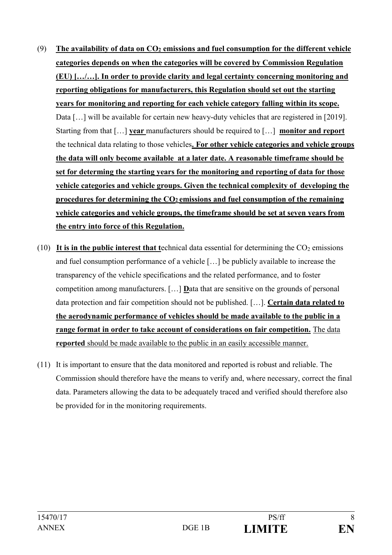- (9) **The availability of data on CO<sup>2</sup> emissions and fuel consumption for the different vehicle categories depends on when the categories will be covered by Commission Regulation (EU) […/…]. In order to provide clarity and legal certainty concerning monitoring and reporting obligations for manufacturers, this Regulation should set out the starting years for monitoring and reporting for each vehicle category falling within its scope.** Data [...] will be available for certain new heavy-duty vehicles that are registered in [2019]. Starting from that […] **year** manufacturers should be required to […] **monitor and report**  the technical data relating to those vehicles**. For other vehicle categories and vehicle groups the data will only become available at a later date. A reasonable timeframe should be set for determing the starting years for the monitoring and reporting of data for those vehicle categories and vehicle groups. Given the technical complexity of developing the procedures for determining the CO2 emissions and fuel consumption of the remaining vehicle categories and vehicle groups, the timeframe should be set at seven years from the entry into force of this Regulation.**
- (10) It is in the public interest that technical data essential for determining the  $CO<sub>2</sub>$  emissions and fuel consumption performance of a vehicle […] be publicly available to increase the transparency of the vehicle specifications and the related performance, and to foster competition among manufacturers. […] **D**ata that are sensitive on the grounds of personal data protection and fair competition should not be published. […]. **Certain data related to the aerodynamic performance of vehicles should be made available to the public in a range format in order to take account of considerations on fair competition.** The data **reported** should be made available to the public in an easily accessible manner.
- (11) It is important to ensure that the data monitored and reported is robust and reliable. The Commission should therefore have the means to verify and, where necessary, correct the final data. Parameters allowing the data to be adequately traced and verified should therefore also be provided for in the monitoring requirements.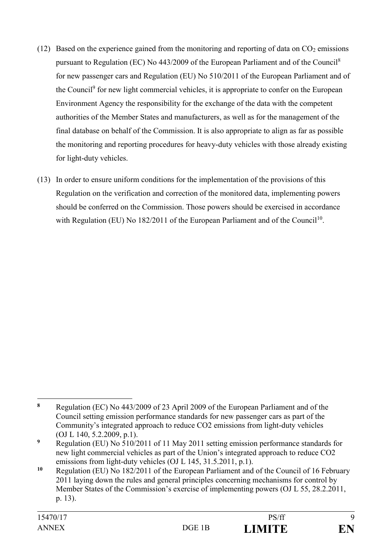- (12) Based on the experience gained from the monitoring and reporting of data on  $CO<sub>2</sub>$  emissions pursuant to Regulation (EC) No 443/2009 of the European Parliament and of the Council<sup>8</sup> for new passenger cars and Regulation (EU) No 510/2011 of the European Parliament and of the Council<sup>9</sup> for new light commercial vehicles, it is appropriate to confer on the European Environment Agency the responsibility for the exchange of the data with the competent authorities of the Member States and manufacturers, as well as for the management of the final database on behalf of the Commission. It is also appropriate to align as far as possible the monitoring and reporting procedures for heavy-duty vehicles with those already existing for light-duty vehicles.
- (13) In order to ensure uniform conditions for the implementation of the provisions of this Regulation on the verification and correction of the monitored data, implementing powers should be conferred on the Commission. Those powers should be exercised in accordance with Regulation (EU) No 182/2011 of the European Parliament and of the Council<sup>10</sup>.

1

**<sup>8</sup>** Regulation (EC) No 443/2009 of 23 April 2009 of the European Parliament and of the Council setting emission performance standards for new passenger cars as part of the Community's integrated approach to reduce CO2 emissions from light-duty vehicles (OJ L 140, 5.2.2009, p.1).

**<sup>9</sup>** Regulation (EU) No 510/2011 of 11 May 2011 setting emission performance standards for new light commercial vehicles as part of the Union's integrated approach to reduce CO2 emissions from light-duty vehicles (OJ L 145, 31.5.2011, p.1).

**<sup>10</sup>** Regulation (EU) No 182/2011 of the European Parliament and of the Council of 16 February 2011 laying down the rules and general principles concerning mechanisms for control by Member States of the Commission's exercise of implementing powers (OJ L 55, 28.2.2011, p. 13).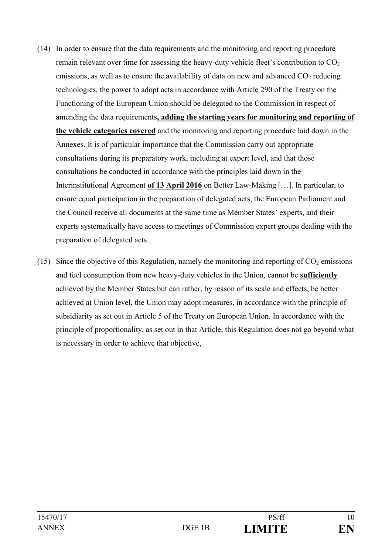- (14) In order to ensure that the data requirements and the monitoring and reporting procedure remain relevant over time for assessing the heavy-duty vehicle fleet's contribution to  $CO<sub>2</sub>$ emissions, as well as to ensure the availability of data on new and advanced  $CO<sub>2</sub>$  reducing technologies, the power to adopt acts in accordance with Article 290 of the Treaty on the Functioning of the European Union should be delegated to the Commission in respect of amending the data requirements**, adding the starting years for monitoring and reporting of the vehicle categories covered** and the monitoring and reporting procedure laid down in the Annexes. It is of particular importance that the Commission carry out appropriate consultations during its preparatory work, including at expert level, and that those consultations be conducted in accordance with the principles laid down in the Interinstitutional Agreement **of 13 April 2016** on Better Law-Making […]. In particular, to ensure equal participation in the preparation of delegated acts, the European Parliament and the Council receive all documents at the same time as Member States' experts, and their experts systematically have access to meetings of Commission expert groups dealing with the preparation of delegated acts.
- (15) Since the objective of this Regulation, namely the monitoring and reporting of  $CO<sub>2</sub>$  emissions and fuel consumption from new heavy-duty vehicles in the Union, cannot be **sufficiently**  achieved by the Member States but can rather, by reason of its scale and effects, be better achieved at Union level, the Union may adopt measures, in accordance with the principle of subsidiarity as set out in Article 5 of the Treaty on European Union. In accordance with the principle of proportionality, as set out in that Article, this Regulation does not go beyond what is necessary in order to achieve that objective,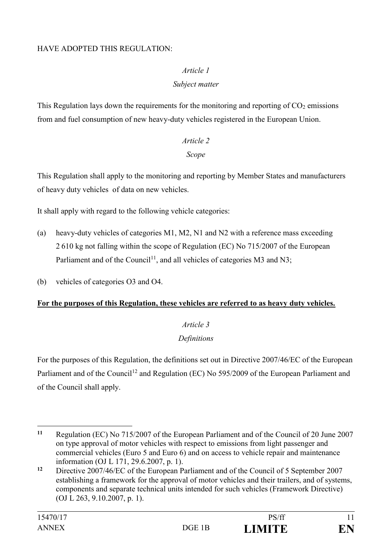### HAVE ADOPTED THIS REGULATION:

### *Article 1*

### *Subject matter*

This Regulation lays down the requirements for the monitoring and reporting of  $CO<sub>2</sub>$  emissions from and fuel consumption of new heavy-duty vehicles registered in the European Union.

# *Article 2 Scope*

This Regulation shall apply to the monitoring and reporting by Member States and manufacturers of heavy duty vehicles of data on new vehicles.

It shall apply with regard to the following vehicle categories:

- (a) heavy-duty vehicles of categories M1, M2, N1 and N2 with a reference mass exceeding 2 610 kg not falling within the scope of Regulation (EC) No 715/2007 of the European Parliament and of the Council<sup>11</sup>, and all vehicles of categories M3 and N3;
- (b) vehicles of categories O3 and O4.

#### **For the purposes of this Regulation, these vehicles are referred to as heavy duty vehicles.**

## *Article 3*

#### *Definitions*

For the purposes of this Regulation, the definitions set out in Directive 2007/46/EC of the European Parliament and of the Council<sup>12</sup> and Regulation (EC) No 595/2009 of the European Parliament and of the Council shall apply.

<sup>&</sup>lt;u>.</u> **<sup>11</sup>** Regulation (EC) No 715/2007 of the European Parliament and of the Council of 20 June 2007 on type approval of motor vehicles with respect to emissions from light passenger and commercial vehicles (Euro 5 and Euro 6) and on access to vehicle repair and maintenance information (OJ L 171, 29.6.2007, p. 1).

**<sup>12</sup>** Directive 2007/46/EC of the European Parliament and of the Council of 5 September 2007 establishing a framework for the approval of motor vehicles and their trailers, and of systems, components and separate technical units intended for such vehicles (Framework Directive) (OJ L 263, 9.10.2007, p. 1).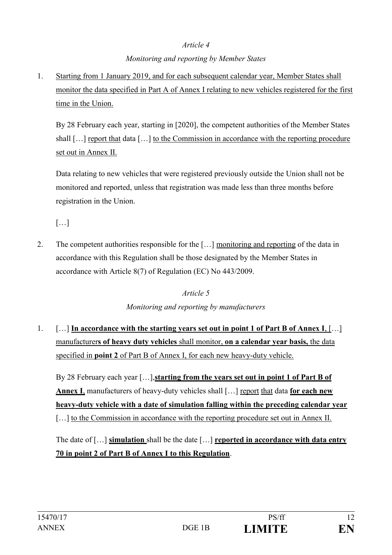# *Article 4 Monitoring and reporting by Member States*

1. Starting from 1 January 2019, and for each subsequent calendar year, Member States shall monitor the data specified in Part A of Annex I relating to new vehicles registered for the first time in the Union.

By 28 February each year, starting in [2020], the competent authorities of the Member States shall [...] report that data [...] to the Commission in accordance with the reporting procedure set out in Annex II.

Data relating to new vehicles that were registered previously outside the Union shall not be monitored and reported, unless that registration was made less than three months before registration in the Union.

 $[...]$ 

2. The competent authorities responsible for the […] monitoring and reporting of the data in accordance with this Regulation shall be those designated by the Member States in accordance with Article 8(7) of Regulation (EC) No 443/2009.

## *Article 5*

# *Monitoring and reporting by manufacturers*

1. […] **In accordance with the starting years set out in point 1 of Part B of Annex I**, […] manufacturer**s of heavy duty vehicles** shall monitor, **on a calendar year basis,** the data specified in **point 2** of Part B of Annex I, for each new heavy-duty vehicle.

By 28 February each year […],**starting from the years set out in point 1 of Part B of Annex I**, manufacturers of heavy-duty vehicles shall […] report that data **for each new heavy-duty vehicle with a date of simulation falling within the preceding calendar year** [...] to the Commission in accordance with the reporting procedure set out in Annex II.

The date of […] **simulation** shall be the date […] **reported in accordance with data entry 70 in point 2 of Part B of Annex I to this Regulation**.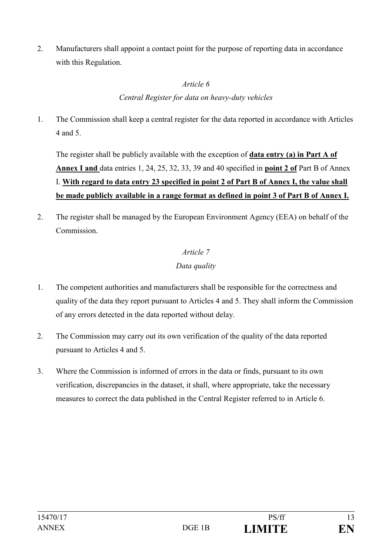2. Manufacturers shall appoint a contact point for the purpose of reporting data in accordance with this Regulation.

# *Article 6 Central Register for data on heavy-duty vehicles*

1. The Commission shall keep a central register for the data reported in accordance with Articles 4 and 5.

The register shall be publicly available with the exception of **data entry (a) in Part A of Annex I and** data entries 1, 24, 25, 32, 33, 39 and 40 specified in **point 2 of** Part B of Annex I. **With regard to data entry 23 specified in point 2 of Part B of Annex I, the value shall be made publicly available in a range format as defined in point 3 of Part B of Annex I.**

2. The register shall be managed by the European Environment Agency (EEA) on behalf of the Commission.

# *Article 7*

# *Data quality*

- 1. The competent authorities and manufacturers shall be responsible for the correctness and quality of the data they report pursuant to Articles 4 and 5. They shall inform the Commission of any errors detected in the data reported without delay.
- 2. The Commission may carry out its own verification of the quality of the data reported pursuant to Articles 4 and 5.
- 3. Where the Commission is informed of errors in the data or finds, pursuant to its own verification, discrepancies in the dataset, it shall, where appropriate, take the necessary measures to correct the data published in the Central Register referred to in Article 6.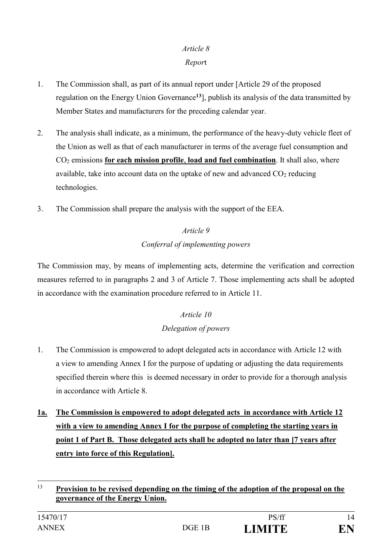# *Article 8*

# *Repor*t

- 1. The Commission shall, as part of its annual report under [Article 29 of the proposed regulation on the Energy Union Governance**<sup>13</sup>**], publish its analysis of the data transmitted by Member States and manufacturers for the preceding calendar year.
- 2. The analysis shall indicate, as a minimum, the performance of the heavy-duty vehicle fleet of the Union as well as that of each manufacturer in terms of the average fuel consumption and CO<sup>2</sup> emissions **for each mission profile**, **load and fuel combination**. It shall also, where available, take into account data on the uptake of new and advanced  $CO<sub>2</sub>$  reducing technologies.
- 3. The Commission shall prepare the analysis with the support of the EEA.

# *Article 9 Conferral of implementing powers*

The Commission may, by means of implementing acts, determine the verification and correction measures referred to in paragraphs 2 and 3 of Article 7. Those implementing acts shall be adopted in accordance with the examination procedure referred to in Article 11.

# *Article 10 Delegation of powers*

- 1. The Commission is empowered to adopt delegated acts in accordance with Article 12 with a view to amending Annex I for the purpose of updating or adjusting the data requirements specified therein where this is deemed necessary in order to provide for a thorough analysis in accordance with Article 8.
- **1a. The Commission is empowered to adopt delegated acts in accordance with Article 12 with a view to amending Annex I for the purpose of completing the starting years in point 1 of Part B. Those delegated acts shall be adopted no later than [7 years after entry into force of this Regulation].**

 $13$ <sup>13</sup> **Provision to be revised depending on the timing of the adoption of the proposal on the governance of the Energy Union.**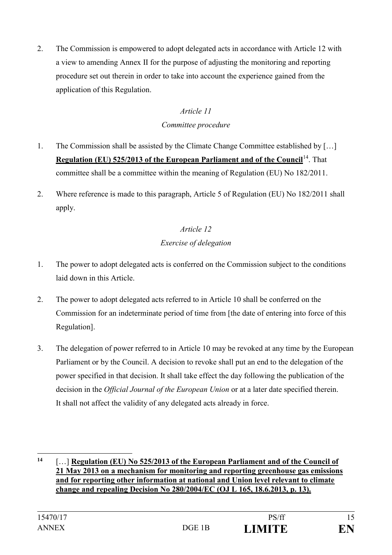2. The Commission is empowered to adopt delegated acts in accordance with Article 12 with a view to amending Annex II for the purpose of adjusting the monitoring and reporting procedure set out therein in order to take into account the experience gained from the application of this Regulation.

## *Article 11*

*Committee procedure*

- 1. The Commission shall be assisted by the Climate Change Committee established by […] **Regulation (EU) 525/2013 of the European Parliament and of the Council<sup>14</sup>. That** committee shall be a committee within the meaning of Regulation (EU) No 182/2011.
- 2. Where reference is made to this paragraph, Article 5 of Regulation (EU) No 182/2011 shall apply.

# *Article 12 Exercise of delegation*

- 1. The power to adopt delegated acts is conferred on the Commission subject to the conditions laid down in this Article.
- 2. The power to adopt delegated acts referred to in Article 10 shall be conferred on the Commission for an indeterminate period of time from [the date of entering into force of this Regulation].
- 3. The delegation of power referred to in Article 10 may be revoked at any time by the European Parliament or by the Council. A decision to revoke shall put an end to the delegation of the power specified in that decision. It shall take effect the day following the publication of the decision in the *Official Journal of the European Union* or at a later date specified therein. It shall not affect the validity of any delegated acts already in force.

1

**<sup>14</sup>** […] **Regulation (EU) No 525/2013 of the European Parliament and of the Council of 21 May 2013 on a mechanism for monitoring and reporting greenhouse gas emissions and for reporting other information at national and Union level relevant to climate change and repealing Decision No 280/2004/EC (OJ L 165, 18.6.2013, p. 13).**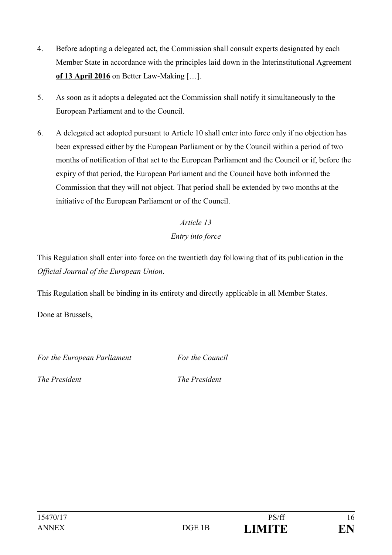- 4. Before adopting a delegated act, the Commission shall consult experts designated by each Member State in accordance with the principles laid down in the Interinstitutional Agreement **of 13 April 2016** on Better Law-Making […].
- 5. As soon as it adopts a delegated act the Commission shall notify it simultaneously to the European Parliament and to the Council.
- 6. A delegated act adopted pursuant to Article 10 shall enter into force only if no objection has been expressed either by the European Parliament or by the Council within a period of two months of notification of that act to the European Parliament and the Council or if, before the expiry of that period, the European Parliament and the Council have both informed the Commission that they will not object. That period shall be extended by two months at the initiative of the European Parliament or of the Council.

# *Article 13 Entry into force*

This Regulation shall enter into force on the twentieth day following that of its publication in the *Official Journal of the European Union*.

This Regulation shall be binding in its entirety and directly applicable in all Member States.

Done at Brussels,

*For the European Parliament For the Council*

*The President The President*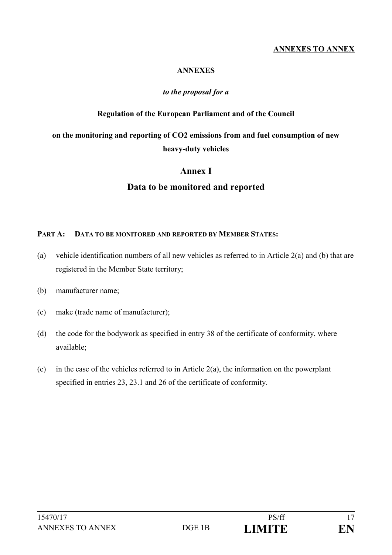### **ANNEXES TO ANNEX**

#### **ANNEXES**

#### *to the proposal for a*

#### **Regulation of the European Parliament and of the Council**

# **on the monitoring and reporting of CO2 emissions from and fuel consumption of new heavy-duty vehicles**

#### **Annex I**

#### **Data to be monitored and reported**

#### **PART A: DATA TO BE MONITORED AND REPORTED BY MEMBER STATES:**

- (a) vehicle identification numbers of all new vehicles as referred to in Article 2(a) and (b) that are registered in the Member State territory;
- (b) manufacturer name;
- (c) make (trade name of manufacturer);
- (d) the code for the bodywork as specified in entry 38 of the certificate of conformity, where available;
- (e) in the case of the vehicles referred to in Article 2(a), the information on the powerplant specified in entries 23, 23.1 and 26 of the certificate of conformity.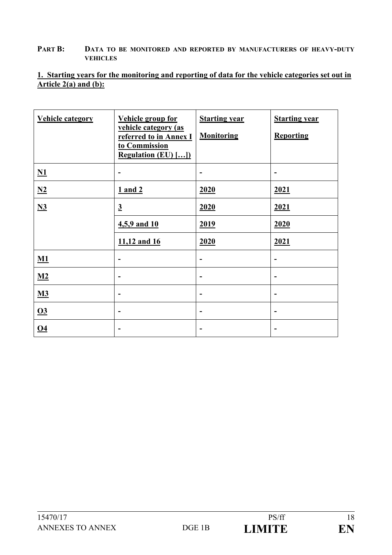#### **PART B: DATA TO BE MONITORED AND REPORTED BY MANUFACTURERS OF HEAVY-DUTY VEHICLES**

### **1. Starting years for the monitoring and reporting of data for the vehicle categories set out in Article 2(a) and (b):**

| <b>Vehicle group for</b><br>vehicle category (as<br>referred to in Annex I<br>to Commission<br><b>Regulation (EU) []</b> | <b>Starting year</b><br><b>Monitoring</b> | <b>Starting year</b><br><b>Reporting</b> |
|--------------------------------------------------------------------------------------------------------------------------|-------------------------------------------|------------------------------------------|
|                                                                                                                          |                                           |                                          |
| $1$ and $2$                                                                                                              | 2020                                      | 2021                                     |
| $\overline{3}$                                                                                                           | 2020                                      | 2021                                     |
| 4,5,9 and 10                                                                                                             | 2019                                      | 2020                                     |
| 11,12 and 16                                                                                                             | 2020                                      | 2021                                     |
| $\overline{a}$                                                                                                           | -                                         | $\overline{\phantom{a}}$                 |
| -                                                                                                                        |                                           | $\overline{\phantom{a}}$                 |
| $\qquad \qquad \blacksquare$                                                                                             | -                                         | $\overline{\phantom{a}}$                 |
| $\overline{a}$                                                                                                           | -                                         | $\overline{\phantom{a}}$                 |
| $\overline{a}$                                                                                                           | -                                         | $\overline{\phantom{a}}$                 |
|                                                                                                                          |                                           |                                          |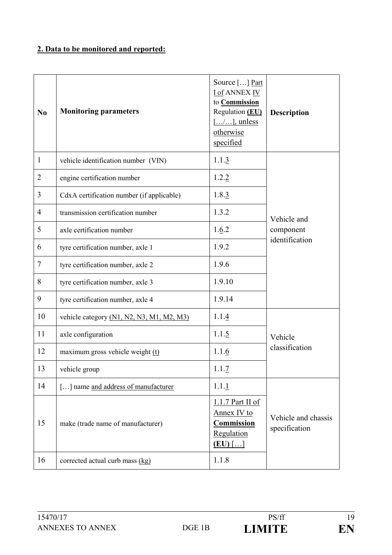# **2. Data to be monitored and reported:**

| N <sub>0</sub> | <b>Monitoring parameters</b>              | Source [] Part<br><b>I of ANNEX IV</b><br>to <b>Commission</b><br>Regulation (EU)<br>$[\ldots/\ldots]$ , unless<br>otherwise<br>specified | <b>Description</b>                   |
|----------------|-------------------------------------------|-------------------------------------------------------------------------------------------------------------------------------------------|--------------------------------------|
| $\mathbf{1}$   | vehicle identification number (VIN)       | 1.1.3                                                                                                                                     |                                      |
| $\overline{2}$ | engine certification number               | 1.2.2                                                                                                                                     |                                      |
| 3              | CdxA certification number (if applicable) | 1.8.3                                                                                                                                     |                                      |
| $\overline{4}$ | transmission certification number         | 1.3.2                                                                                                                                     | Vehicle and                          |
| 5              | axle certification number                 | 1.6.2                                                                                                                                     | component                            |
| 6              | tyre certification number, axle 1         | 1.9.2                                                                                                                                     | identification                       |
| $\overline{7}$ | tyre certification number, axle 2         | 1.9.6                                                                                                                                     |                                      |
| 8              | tyre certification number, axle 3         | 1.9.10                                                                                                                                    |                                      |
| 9              | tyre certification number, axle 4         | 1.9.14                                                                                                                                    |                                      |
| 10             | vehicle category (N1, N2, N3, M1, M2, M3) | 1.1.4                                                                                                                                     |                                      |
| 11             | axle configuration                        | 1.1.5                                                                                                                                     | Vehicle                              |
| 12             | maximum gross vehicle weight (t)          | 1.1.6                                                                                                                                     | classification                       |
| 13             | vehicle group                             | 1.1.7                                                                                                                                     |                                      |
| 14             | [] name and address of manufacturer       | 1.1.1                                                                                                                                     |                                      |
| 15             | make (trade name of manufacturer)         | $1.1.7$ Part II of<br>Annex IV to<br><b>Commission</b><br>Regulation<br>$(EU)$ []                                                         | Vehicle and chassis<br>specification |
| 16             | corrected actual curb mass (kg)           | 1.1.8                                                                                                                                     |                                      |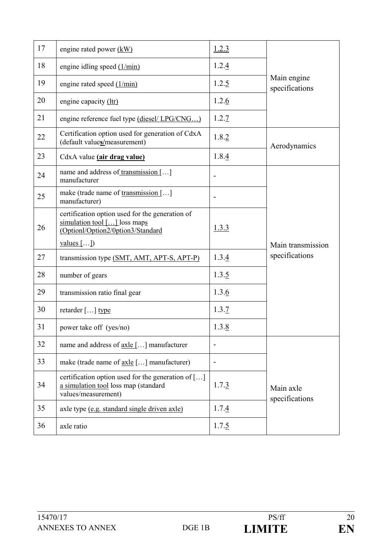| 17 | engine rated power (kW)                                                                                              | 1.2.3                        |                               |
|----|----------------------------------------------------------------------------------------------------------------------|------------------------------|-------------------------------|
| 18 | engine idling speed $(1/\text{min})$                                                                                 | 1.2.4                        |                               |
| 19 | engine rated speed $(1/\text{min})$                                                                                  | 1.2.5                        | Main engine<br>specifications |
| 20 | engine capacity (ltr)                                                                                                | 1.2.6                        |                               |
| 21 | engine reference fuel type (diesel/ LPG/CNG)                                                                         | 1.2.7                        |                               |
| 22 | Certification option used for generation of CdxA<br>(default values/measurement)                                     | 1.8.2                        | Aerodynamics                  |
| 23 | CdxA value (air drag value)                                                                                          | 1.8.4                        |                               |
| 24 | name and address of transmission []<br>manufacturer                                                                  | $\overline{\phantom{0}}$     |                               |
| 25 | make (trade name of transmission []<br>manufacturer)                                                                 | $\qquad \qquad \blacksquare$ |                               |
| 26 | certification option used for the generation of<br>simulation tool [] loss maps<br>(Optionl/Option2/0ption3/Standard | 1.3.3                        |                               |
|    | $values$ [])                                                                                                         |                              | Main transmission             |
| 27 | transmission type (SMT, AMT, APT-S, APT-P)                                                                           | 1.3.4                        | specifications                |
| 28 | number of gears                                                                                                      | 1.3.5                        |                               |
| 29 | transmission ratio final gear                                                                                        | 1.3.6                        |                               |
| 30 | retarder $[\dots]$ type                                                                                              | 1.3.7                        |                               |
| 31 | power take off (yes/no)                                                                                              | 1.3.8                        |                               |
| 32 | name and address of <u>axle</u> [] manufacturer                                                                      |                              |                               |
| 33 | make (trade name of <u>axle</u> [] manufacturer)                                                                     |                              |                               |
| 34 | certification option used for the generation of []<br>a simulation tool loss map (standard<br>values/measurement)    | 1.7.3                        | Main axle<br>specifications   |
| 35 | axle type (e.g. standard single driven axle)                                                                         | 1.7.4                        |                               |
| 36 | axle ratio                                                                                                           | 1.7.5                        |                               |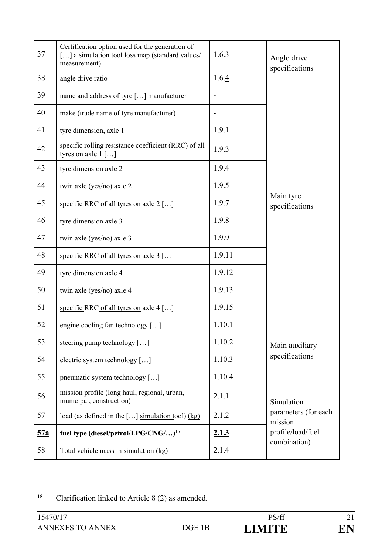| 37         | Certification option used for the generation of<br>[] a simulation tool loss map (standard values/<br>measurement) | 1.6.3                    | Angle drive<br>specifications     |
|------------|--------------------------------------------------------------------------------------------------------------------|--------------------------|-----------------------------------|
| 38         | angle drive ratio                                                                                                  | 1.6.4                    |                                   |
| 39         | name and address of tyre [] manufacturer                                                                           | $\overline{\phantom{a}}$ |                                   |
| 40         | make (trade name of tyre manufacturer)                                                                             |                          |                                   |
| 41         | tyre dimension, axle 1                                                                                             | 1.9.1                    |                                   |
| 42         | specific rolling resistance coefficient (RRC) of all<br>tyres on axle $1$ []                                       | 1.9.3                    |                                   |
| 43         | tyre dimension axle 2                                                                                              | 1.9.4                    |                                   |
| 44         | twin axle (yes/no) axle 2                                                                                          | 1.9.5                    |                                   |
| 45         | specific RRC of all tyres on axle 2 []                                                                             | 1.9.7                    | Main tyre<br>specifications       |
| 46         | tyre dimension axle 3                                                                                              | 1.9.8                    |                                   |
| 47         | twin axle (yes/no) axle 3                                                                                          | 1.9.9                    |                                   |
| 48         | specific RRC of all tyres on axle $3$ []                                                                           | 1.9.11                   |                                   |
| 49         | tyre dimension axle 4                                                                                              | 1.9.12                   |                                   |
| 50         | twin axle (yes/no) axle 4                                                                                          | 1.9.13                   |                                   |
| 51         | specific RRC of all tyres on axle 4 []                                                                             | 1.9.15                   |                                   |
| 52         | engine cooling fan technology []                                                                                   | 1.10.1                   |                                   |
| 53         | steering pump technology $[\dots]$                                                                                 | 1.10.2                   | Main auxiliary                    |
| 54         | electric system technology []                                                                                      | 1.10.3                   | specifications                    |
| 55         | pneumatic system technology []                                                                                     | 1.10.4                   |                                   |
| 56         | mission profile (long haul, regional, urban,<br>municipal, construction)                                           | 2.1.1                    | Simulation                        |
| 57         | load (as defined in the [] simulation tool) $(kg)$                                                                 | 2.1.2                    | parameters (for each<br>mission   |
| <u>57a</u> | fuel type (diesel/petrol/LPG/CNG/) <sup>15</sup>                                                                   | 2.1.3                    | profile/load/fuel<br>combination) |
| 58         | Total vehicle mass in simulation (kg)                                                                              | 2.1.4                    |                                   |

 $15$ **<sup>15</sup>** Clarification linked to Article 8 (2) as amended.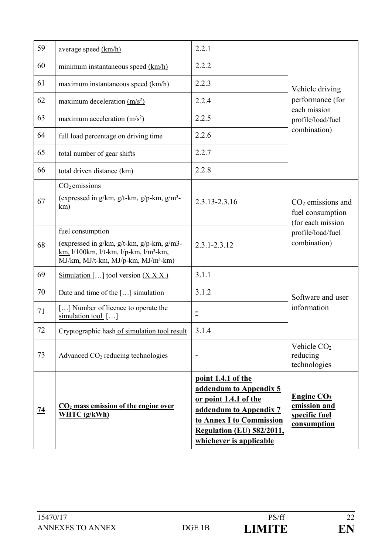| 59        | average speed (km/h)                                                                                                                                                               | 2.2.1                                                                                                                                                                                      |                                                                                     |
|-----------|------------------------------------------------------------------------------------------------------------------------------------------------------------------------------------|--------------------------------------------------------------------------------------------------------------------------------------------------------------------------------------------|-------------------------------------------------------------------------------------|
| 60        | minimum instantaneous speed (km/h)                                                                                                                                                 | 2.2.2                                                                                                                                                                                      |                                                                                     |
| 61        | maximum instantaneous speed (km/h)                                                                                                                                                 | 2.2.3                                                                                                                                                                                      | Vehicle driving                                                                     |
| 62        | maximum deceleration $(m/s2)$                                                                                                                                                      | 2.2.4                                                                                                                                                                                      | performance (for                                                                    |
| 63        | maximum acceleration $(m/s2)$                                                                                                                                                      | 2.2.5                                                                                                                                                                                      | each mission<br>profile/load/fuel                                                   |
| 64        | full load percentage on driving time                                                                                                                                               | 2.2.6                                                                                                                                                                                      | combination)                                                                        |
| 65        | total number of gear shifts                                                                                                                                                        | 2.2.7                                                                                                                                                                                      |                                                                                     |
| 66        | total driven distance (km)                                                                                                                                                         | 2.2.8                                                                                                                                                                                      |                                                                                     |
| 67        | $CO2$ emissions<br>(expressed in g/km, g/t-km, g/p-km, g/m <sup>3</sup> -<br>km)                                                                                                   | 2.3.13-2.3.16                                                                                                                                                                              | $CO2$ emissions and<br>fuel consumption<br>(for each mission                        |
| 68        | fuel consumption<br>(expressed in $g/km$ , $g/t-km$ , $g/p-km$ , $g/m3$ -<br>km, 1/100km, 1/t-km, 1/p-km, 1/m <sup>3</sup> -km,<br>MJ/km, MJ/t-km, MJ/p-km, MJ/m <sup>3</sup> -km) | $2.3.1 - 2.3.12$                                                                                                                                                                           | profile/load/fuel<br>combination)                                                   |
| 69        | Simulation [] tool version $(X, X, X)$                                                                                                                                             | 3.1.1                                                                                                                                                                                      |                                                                                     |
| 70        | Date and time of the $[\dots]$ simulation                                                                                                                                          | 3.1.2                                                                                                                                                                                      | Software and user                                                                   |
| 71        | [] Number of licence to operate the<br>simulation tool $[\dots]$                                                                                                                   | $\bar{=}$                                                                                                                                                                                  | information                                                                         |
| 72        | Cryptographic hash of simulation tool result                                                                                                                                       | 3.1.4                                                                                                                                                                                      |                                                                                     |
| 73        | Advanced $CO2$ reducing technologies                                                                                                                                               | $\overline{\phantom{a}}$                                                                                                                                                                   | Vehicle CO <sub>2</sub><br>reducing<br>technologies                                 |
| <u>74</u> | $CO2$ mass emission of the engine over<br>WHTC (g/kWh)                                                                                                                             | point 1.4.1 of the<br>addendum to Appendix 5<br>or point 1.4.1 of the<br>addendum to Appendix 7<br>to Annex I to Commission<br><b>Regulation (EU) 582/2011,</b><br>whichever is applicable | <b>Engine CO<sub>2</sub></b><br>emission and<br>specific fuel<br><u>consumption</u> |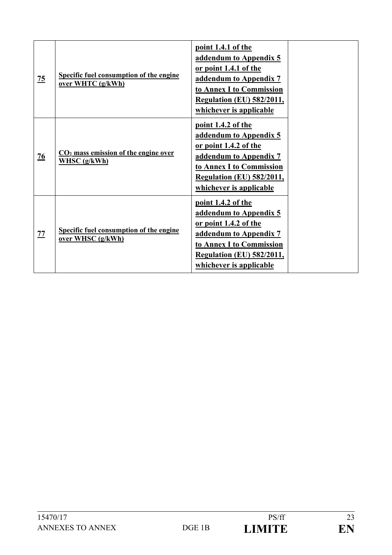| $\overline{25}$ | Specific fuel consumption of the engine<br>over WHTC (g/kWh) | point 1.4.1 of the<br>addendum to Appendix 5<br>or point 1.4.1 of the<br>addendum to Appendix 7<br>to Annex I to Commission<br><b>Regulation (EU) 582/2011,</b><br>whichever is applicable |
|-----------------|--------------------------------------------------------------|--------------------------------------------------------------------------------------------------------------------------------------------------------------------------------------------|
| $\overline{26}$ | $CO2$ mass emission of the engine over<br>WHSC $(g/kWh)$     | point 1.4.2 of the<br>addendum to Appendix 5<br>or point 1.4.2 of the<br>addendum to Appendix 7<br>to Annex I to Commission<br><b>Regulation (EU) 582/2011,</b><br>whichever is applicable |
| 77              | Specific fuel consumption of the engine<br>over WHSC (g/kWh) | point 1.4.2 of the<br>addendum to Appendix 5<br>or point 1.4.2 of the<br>addendum to Appendix 7<br>to Annex I to Commission<br><b>Regulation (EU) 582/2011,</b><br>whichever is applicable |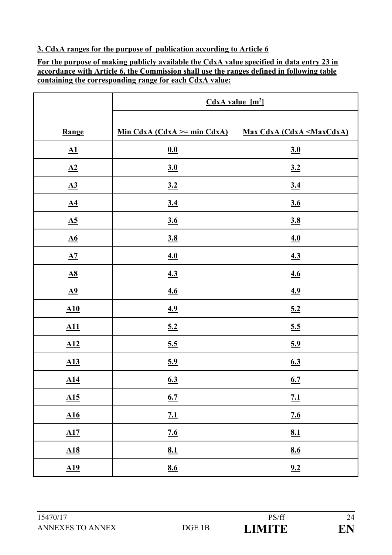### **3. CdxA ranges for the purpose of publication according to Article 6**

**For the purpose of making publicly available the CdxA value specified in data entry 23 in accordance with Article 6, the Commission shall use the ranges defined in following table containing the corresponding range for each CdxA value:**

|                            | CdxA value [m <sup>2</sup> ]     |                                                    |
|----------------------------|----------------------------------|----------------------------------------------------|
|                            |                                  |                                                    |
| Range                      | Min CdxA (CdxA $\ge$ = min CdxA) | <b>Max CdxA (CdxA <maxcdxa)< b=""></maxcdxa)<></b> |
| $\underline{\mathbf{A1}}$  | 0.0                              | $\underline{\mathbf{3.0}}$                         |
| $\underline{A2}$           | $\underline{3.0}$                | 3.2                                                |
| $\underline{A3}$           | 3.2                              | $\underline{3.4}$                                  |
| $\underline{A4}$           | 3.4                              | 3.6                                                |
| $\underline{A5}$           | 3.6                              | 3.8                                                |
| $\underline{\mathbf{A6}}$  | 3.8                              | 4.0                                                |
| $\underline{A7}$           | 4.0                              | 4.3                                                |
| $\underline{A8}$           | 4.3                              | 4.6                                                |
| $\underline{\mathbf{A9}}$  | 4.6                              | 4.9                                                |
| $\underline{A10}$          | <u>4.9</u>                       | 5.2                                                |
| A11                        | 5.2                              | 5.5                                                |
| $\underline{A12}$          | 5.5                              | 5.9                                                |
| $\underline{A13}$          | 5.9                              | 6.3                                                |
| $\underline{A14}$          | 6.3                              | 6.7                                                |
| $\underline{\mathbf{A15}}$ | 6.7                              | 7.1                                                |
| $\underline{A16}$          | 7.1                              | 7.6                                                |
| $\underline{\mathbf{A17}}$ | 7.6                              | 8.1                                                |
| $\underline{A18}$          | <u>8.1</u>                       | 8.6                                                |
| $\underline{A19}$          | 8.6                              | 9.2                                                |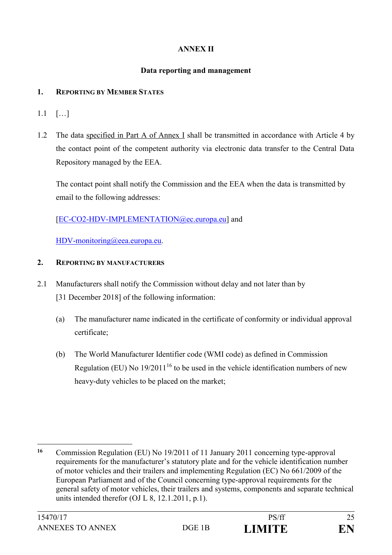## **ANNEX II**

### **Data reporting and management**

### **1. REPORTING BY MEMBER STATES**

- 1.1 […]
- 1.2 The data specified in Part A of Annex I shall be transmitted in accordance with Article 4 by the contact point of the competent authority via electronic data transfer to the Central Data Repository managed by the EEA.

The contact point shall notify the Commission and the EEA when the data is transmitted by email to the following addresses:

## [\[EC-CO2-HDV-IMPLEMENTATION@ec.europa.eu\]](mailto:EC-CO2-HDV-IMPLEMENTATION@ec.europa.eu) and

[HDV-monitoring@eea.europa.eu.](mailto:CO2-monitoring@eea.europa.eu)

### **2. REPORTING BY MANUFACTURERS**

- 2.1 Manufacturers shall notify the Commission without delay and not later than by [31 December 2018] of the following information:
	- (a) The manufacturer name indicated in the certificate of conformity or individual approval certificate;
	- (b) The World Manufacturer Identifier code (WMI code) as defined in Commission Regulation (EU) No  $19/2011^{16}$  to be used in the vehicle identification numbers of new heavy-duty vehicles to be placed on the market;

<sup>1</sup> **<sup>16</sup>** Commission Regulation (EU) No 19/2011 of 11 January 2011 concerning type-approval requirements for the manufacturer's statutory plate and for the vehicle identification number of motor vehicles and their trailers and implementing Regulation (EC) No 661/2009 of the European Parliament and of the Council concerning type-approval requirements for the general safety of motor vehicles, their trailers and systems, components and separate technical units intended therefor (OJ L 8, 12.1.2011, p.1).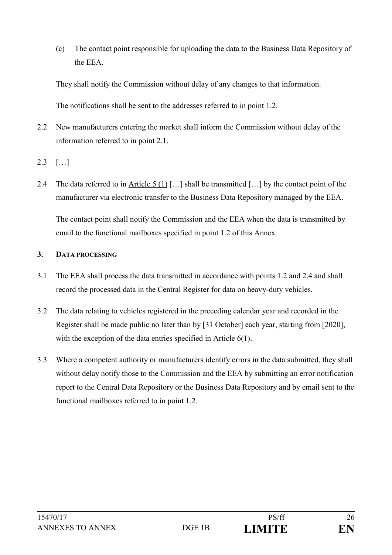(c) The contact point responsible for uploading the data to the Business Data Repository of the EEA.

They shall notify the Commission without delay of any changes to that information.

The notifications shall be sent to the addresses referred to in point 1.2.

- 2.2 New manufacturers entering the market shall inform the Commission without delay of the information referred to in point 2.1.
- 2.3 […]
- 2.4 The data referred to in Article 5 (1) […] shall be transmitted […] by the contact point of the manufacturer via electronic transfer to the Business Data Repository managed by the EEA.

The contact point shall notify the Commission and the EEA when the data is transmitted by email to the functional mailboxes specified in point 1.2 of this Annex.

### **3. DATA PROCESSING**

- 3.1 The EEA shall process the data transmitted in accordance with points 1.2 and 2.4 and shall record the processed data in the Central Register for data on heavy-duty vehicles.
- 3.2 The data relating to vehicles registered in the preceding calendar year and recorded in the Register shall be made public no later than by [31 October] each year, starting from [2020], with the exception of the data entries specified in Article 6(1).
- 3.3 Where a competent authority or manufacturers identify errors in the data submitted, they shall without delay notify those to the Commission and the EEA by submitting an error notification report to the Central Data Repository or the Business Data Repository and by email sent to the functional mailboxes referred to in point 1.2.